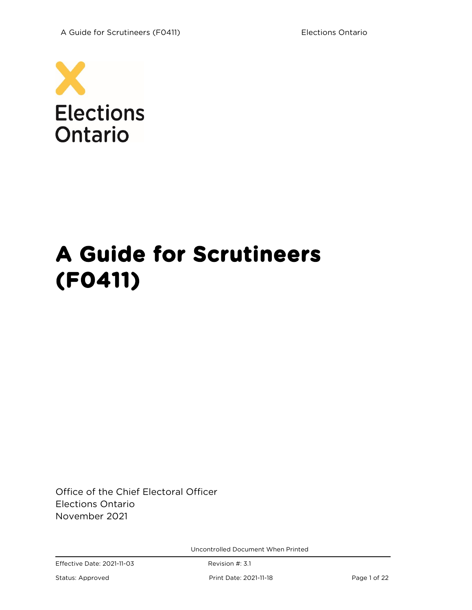

# **A Guide for Scrutineers (F0411)**

Office of the Chief Electoral Officer Elections Ontario November 2021

Uncontrolled Document When Printed

Status: Approved Print Date: 2021-11-18 Page 1 of 22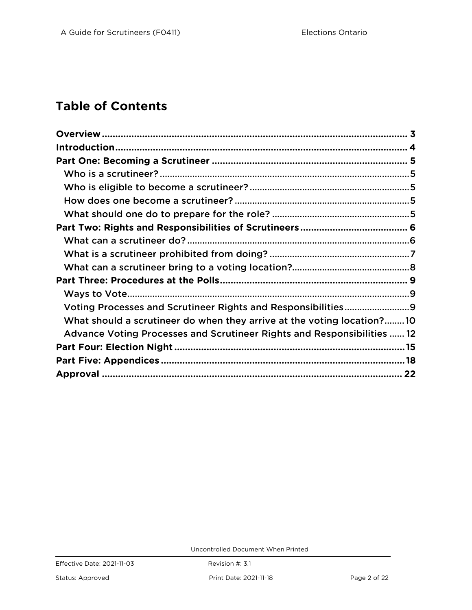## **Table of Contents**

| Voting Processes and Scrutineer Rights and Responsibilities9<br>What should a scrutineer do when they arrive at the voting location?10<br>Advance Voting Processes and Scrutineer Rights and Responsibilities  12 |  |
|-------------------------------------------------------------------------------------------------------------------------------------------------------------------------------------------------------------------|--|
|                                                                                                                                                                                                                   |  |
|                                                                                                                                                                                                                   |  |
|                                                                                                                                                                                                                   |  |
|                                                                                                                                                                                                                   |  |
|                                                                                                                                                                                                                   |  |
|                                                                                                                                                                                                                   |  |
|                                                                                                                                                                                                                   |  |
|                                                                                                                                                                                                                   |  |
|                                                                                                                                                                                                                   |  |
|                                                                                                                                                                                                                   |  |
|                                                                                                                                                                                                                   |  |
|                                                                                                                                                                                                                   |  |
|                                                                                                                                                                                                                   |  |
|                                                                                                                                                                                                                   |  |
|                                                                                                                                                                                                                   |  |
|                                                                                                                                                                                                                   |  |
|                                                                                                                                                                                                                   |  |
|                                                                                                                                                                                                                   |  |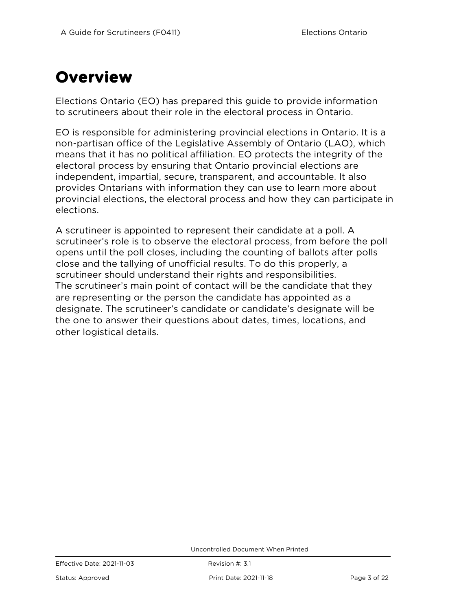## <span id="page-2-0"></span>**Overview**

Elections Ontario (EO) has prepared this guide to provide information to scrutineers about their role in the electoral process in Ontario.

EO is responsible for administering provincial elections in Ontario. It is a non-partisan office of the Legislative Assembly of Ontario (LAO), which means that it has no political affiliation. EO protects the integrity of the electoral process by ensuring that Ontario provincial elections are independent, impartial, secure, transparent, and accountable. It also provides Ontarians with information they can use to learn more about provincial elections, the electoral process and how they can participate in elections.

A scrutineer is appointed to represent their candidate at a poll. A scrutineer's role is to observe the electoral process, from before the poll opens until the poll closes, including the counting of ballots after polls close and the tallying of unofficial results. To do this properly, a scrutineer should understand their rights and responsibilities. The scrutineer's main point of contact will be the candidate that they are representing or the person the candidate has appointed as a designate. The scrutineer's candidate or candidate's designate will be the one to answer their questions about dates, times, locations, and other logistical details.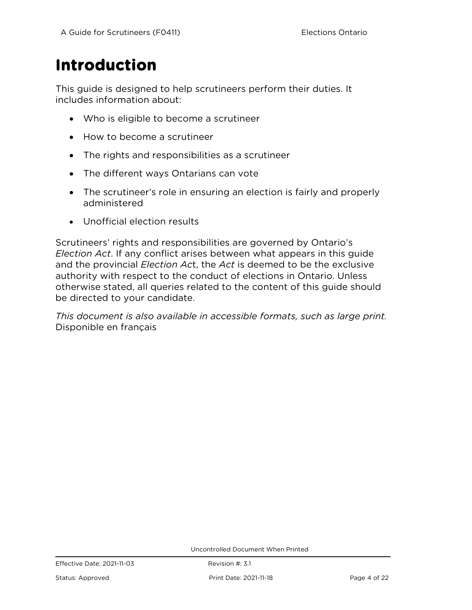## <span id="page-3-0"></span>**Introduction**

This guide is designed to help scrutineers perform their duties. It includes information about:

- Who is eligible to become a scrutineer
- How to become a scrutineer
- The rights and responsibilities as a scrutineer
- The different ways Ontarians can vote
- The scrutineer's role in ensuring an election is fairly and properly administered
- Unofficial election results

Scrutineers' rights and responsibilities are governed by Ontario's *Election Act*. If any conflict arises between what appears in this guide and the provincial *Election Ac*t, the *Act* is deemed to be the exclusive authority with respect to the conduct of elections in Ontario. Unless otherwise stated, all queries related to the content of this guide should be directed to your candidate.

*This document is also available in accessible formats, such as large print.*  Disponible en français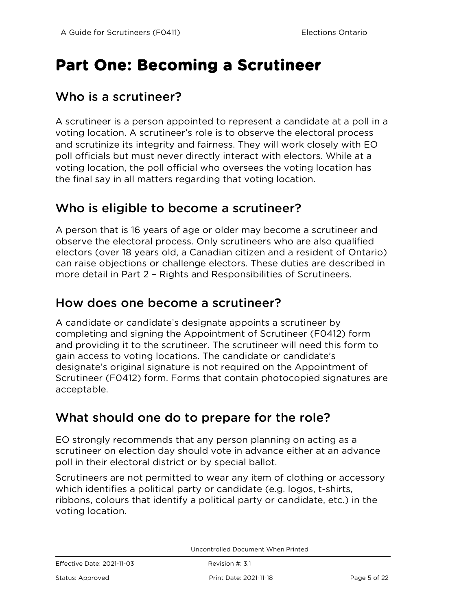## <span id="page-4-0"></span>**Part One: Becoming a Scrutineer**

### <span id="page-4-1"></span>Who is a scrutineer?

A scrutineer is a person appointed to represent a candidate at a poll in a voting location. A scrutineer's role is to observe the electoral process and scrutinize its integrity and fairness. They will work closely with EO poll officials but must never directly interact with electors. While at a voting location, the poll official who oversees the voting location has the final say in all matters regarding that voting location.

### <span id="page-4-2"></span>Who is eligible to become a scrutineer?

A person that is 16 years of age or older may become a scrutineer and observe the electoral process. Only scrutineers who are also qualified electors (over 18 years old, a Canadian citizen and a resident of Ontario) can raise objections or challenge electors. These duties are described in more detail in Part 2 – Rights and Responsibilities of Scrutineers.

### <span id="page-4-3"></span>How does one become a scrutineer?

A candidate or candidate's designate appoints a scrutineer by completing and signing the Appointment of Scrutineer (F0412) form and providing it to the scrutineer. The scrutineer will need this form to gain access to voting locations. The candidate or candidate's designate's original signature is not required on the Appointment of Scrutineer (F0412) form. Forms that contain photocopied signatures are acceptable.

### <span id="page-4-4"></span>What should one do to prepare for the role?

EO strongly recommends that any person planning on acting as a scrutineer on election day should vote in advance either at an advance poll in their electoral district or by special ballot.

Scrutineers are not permitted to wear any item of clothing or accessory which identifies a political party or candidate (e.g. logos, t-shirts, ribbons, colours that identify a political party or candidate, etc.) in the voting location.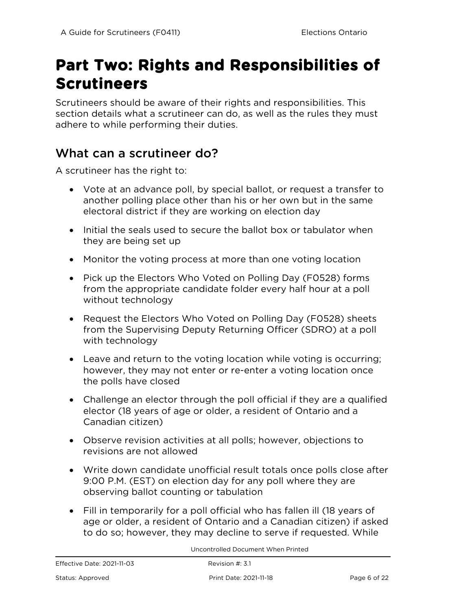## <span id="page-5-0"></span>**Part Two: Rights and Responsibilities of Scrutineers**

Scrutineers should be aware of their rights and responsibilities. This section details what a scrutineer can do, as well as the rules they must adhere to while performing their duties.

## <span id="page-5-1"></span>What can a scrutineer do?

A scrutineer has the right to:

- Vote at an advance poll, by special ballot, or request a transfer to another polling place other than his or her own but in the same electoral district if they are working on election day
- Initial the seals used to secure the ballot box or tabulator when they are being set up
- Monitor the voting process at more than one voting location
- Pick up the Electors Who Voted on Polling Day (F0528) forms from the appropriate candidate folder every half hour at a poll without technology
- Request the Electors Who Voted on Polling Day (F0528) sheets from the Supervising Deputy Returning Officer (SDRO) at a poll with technology
- Leave and return to the voting location while voting is occurring; however, they may not enter or re-enter a voting location once the polls have closed
- Challenge an elector through the poll official if they are a qualified elector (18 years of age or older, a resident of Ontario and a Canadian citizen)
- Observe revision activities at all polls; however, objections to revisions are not allowed
- Write down candidate unofficial result totals once polls close after 9:00 P.M. (EST) on election day for any poll where they are observing ballot counting or tabulation
- Fill in temporarily for a poll official who has fallen ill (18 years of age or older, a resident of Ontario and a Canadian citizen) if asked to do so; however, they may decline to serve if requested. While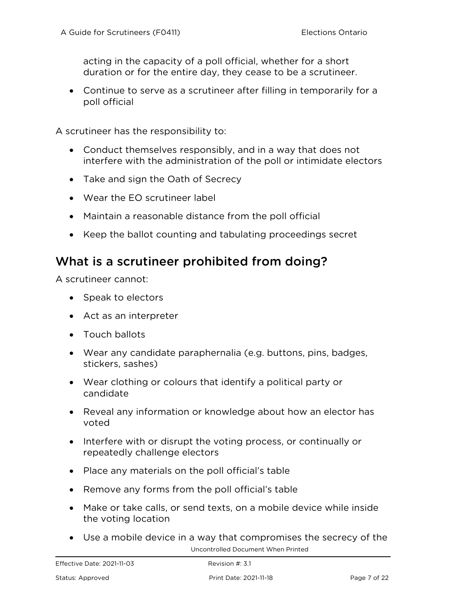acting in the capacity of a poll official, whether for a short duration or for the entire day, they cease to be a scrutineer.

• Continue to serve as a scrutineer after filling in temporarily for a poll official

A scrutineer has the responsibility to:

- Conduct themselves responsibly, and in a way that does not interfere with the administration of the poll or intimidate electors
- Take and sign the Oath of Secrecy
- Wear the EO scrutineer label
- Maintain a reasonable distance from the poll official
- Keep the ballot counting and tabulating proceedings secret

### <span id="page-6-0"></span>What is a scrutineer prohibited from doing?

A scrutineer cannot:

- Speak to electors
- Act as an interpreter
- Touch ballots
- Wear any candidate paraphernalia (e.g. buttons, pins, badges, stickers, sashes)
- Wear clothing or colours that identify a political party or candidate
- Reveal any information or knowledge about how an elector has voted
- Interfere with or disrupt the voting process, or continually or repeatedly challenge electors
- Place any materials on the poll official's table
- Remove any forms from the poll official's table
- Make or take calls, or send texts, on a mobile device while inside the voting location
- Uncontrolled Document When Printed • Use a mobile device in a way that compromises the secrecy of the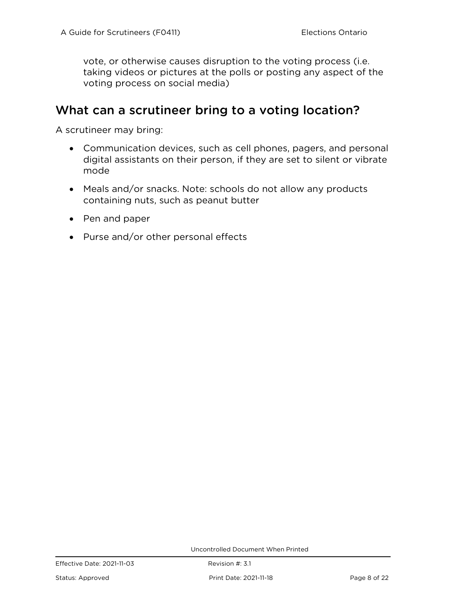vote, or otherwise causes disruption to the voting process (i.e. taking videos or pictures at the polls or posting any aspect of the voting process on social media)

### <span id="page-7-0"></span>What can a scrutineer bring to a voting location?

A scrutineer may bring:

- Communication devices, such as cell phones, pagers, and personal digital assistants on their person, if they are set to silent or vibrate mode
- Meals and/or snacks. Note: schools do not allow any products containing nuts, such as peanut butter
- Pen and paper
- Purse and/or other personal effects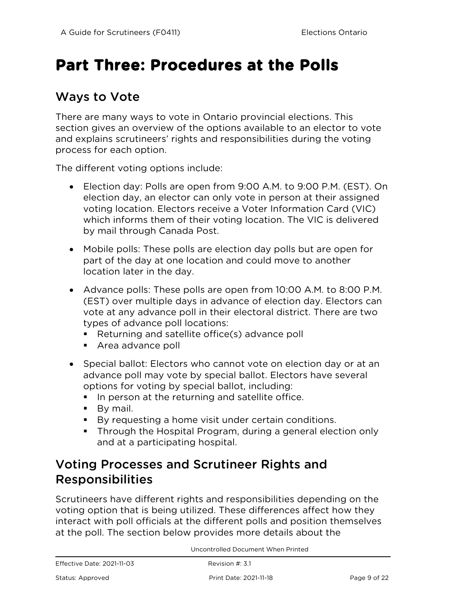## <span id="page-8-0"></span>**Part Three: Procedures at the Polls**

## <span id="page-8-1"></span>Ways to Vote

There are many ways to vote in Ontario provincial elections. This section gives an overview of the options available to an elector to vote and explains scrutineers' rights and responsibilities during the voting process for each option.

The different voting options include:

- Election day: Polls are open from 9:00 A.M. to 9:00 P.M. (EST). On election day, an elector can only vote in person at their assigned voting location. Electors receive a Voter Information Card (VIC) which informs them of their voting location. The VIC is delivered by mail through Canada Post.
- Mobile polls: These polls are election day polls but are open for part of the day at one location and could move to another location later in the day.
- Advance polls: These polls are open from 10:00 A.M. to 8:00 P.M. (EST) over multiple days in advance of election day. Electors can vote at any advance poll in their electoral district. There are two types of advance poll locations:
	- Returning and satellite office(s) advance poll
	- **Area advance poll**
- Special ballot: Electors who cannot vote on election day or at an advance poll may vote by special ballot. Electors have several options for voting by special ballot, including:
	- In person at the returning and satellite office.
	- **By mail.**
	- By requesting a home visit under certain conditions.
	- Through the Hospital Program, during a general election only and at a participating hospital.

## <span id="page-8-2"></span>Voting Processes and Scrutineer Rights and Responsibilities

Scrutineers have different rights and responsibilities depending on the voting option that is being utilized. These differences affect how they interact with poll officials at the different polls and position themselves at the poll. The section below provides more details about the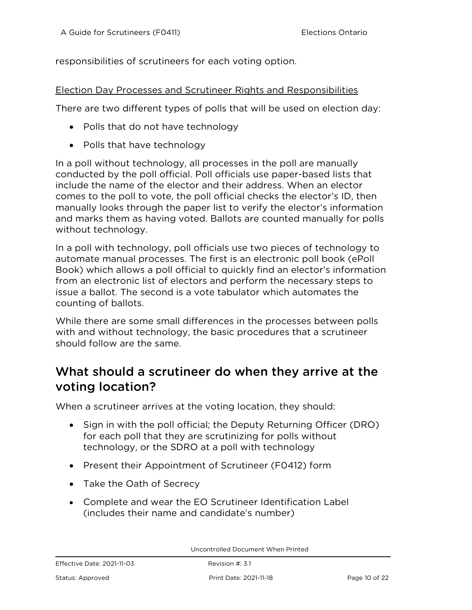responsibilities of scrutineers for each voting option.

#### Election Day Processes and Scrutineer Rights and Responsibilities

There are two different types of polls that will be used on election day:

- Polls that do not have technology
- Polls that have technology

In a poll without technology, all processes in the poll are manually conducted by the poll official. Poll officials use paper-based lists that include the name of the elector and their address. When an elector comes to the poll to vote, the poll official checks the elector's ID, then manually looks through the paper list to verify the elector's information and marks them as having voted. Ballots are counted manually for polls without technology.

In a poll with technology, poll officials use two pieces of technology to automate manual processes. The first is an electronic poll book (ePoll Book) which allows a poll official to quickly find an elector's information from an electronic list of electors and perform the necessary steps to issue a ballot. The second is a vote tabulator which automates the counting of ballots.

While there are some small differences in the processes between polls with and without technology, the basic procedures that a scrutineer should follow are the same.

## <span id="page-9-0"></span>What should a scrutineer do when they arrive at the voting location?

When a scrutineer arrives at the voting location, they should:

- Sign in with the poll official; the Deputy Returning Officer (DRO) for each poll that they are scrutinizing for polls without technology, or the SDRO at a poll with technology
- Present their Appointment of Scrutineer (F0412) form
- Take the Oath of Secrecy
- Complete and wear the EO Scrutineer Identification Label (includes their name and candidate's number)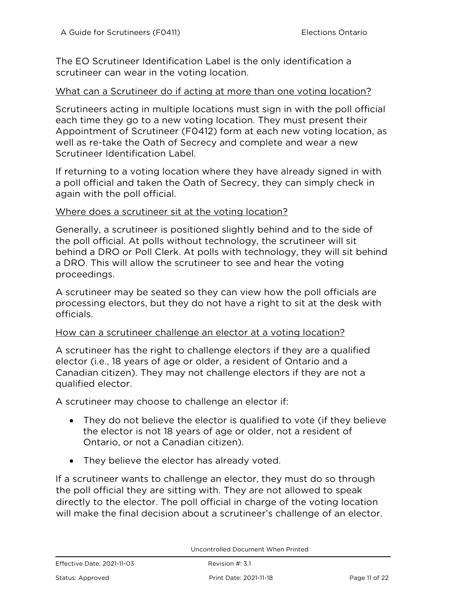The EO Scrutineer Identification Label is the only identification a scrutineer can wear in the voting location.

#### What can a Scrutineer do if acting at more than one voting location?

Scrutineers acting in multiple locations must sign in with the poll official each time they go to a new voting location. They must present their Appointment of Scrutineer (F0412) form at each new voting location, as well as re-take the Oath of Secrecy and complete and wear a new Scrutineer Identification Label.

If returning to a voting location where they have already signed in with a poll official and taken the Oath of Secrecy, they can simply check in again with the poll official.

#### Where does a scrutineer sit at the voting location?

Generally, a scrutineer is positioned slightly behind and to the side of the poll official. At polls without technology, the scrutineer will sit behind a DRO or Poll Clerk. At polls with technology, they will sit behind a DRO. This will allow the scrutineer to see and hear the voting proceedings.

A scrutineer may be seated so they can view how the poll officials are processing electors, but they do not have a right to sit at the desk with officials.

#### How can a scrutineer challenge an elector at a voting location?

A scrutineer has the right to challenge electors if they are a qualified elector (i.e., 18 years of age or older, a resident of Ontario and a Canadian citizen). They may not challenge electors if they are not a qualified elector.

A scrutineer may choose to challenge an elector if:

- They do not believe the elector is qualified to vote (if they believe the elector is not 18 years of age or older, not a resident of Ontario, or not a Canadian citizen).
- They believe the elector has already voted.

If a scrutineer wants to challenge an elector, they must do so through the poll official they are sitting with. They are not allowed to speak directly to the elector. The poll official in charge of the voting location will make the final decision about a scrutineer's challenge of an elector.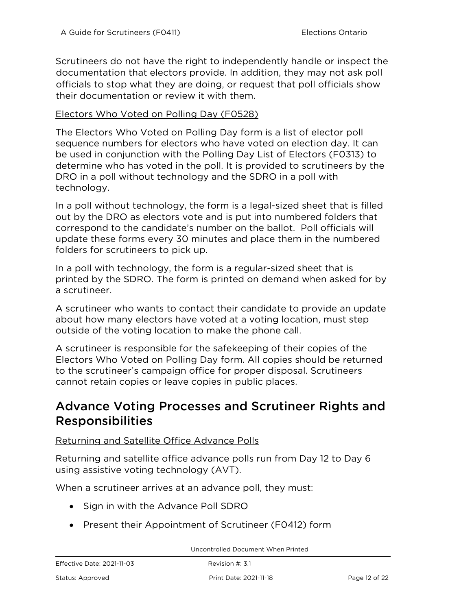Scrutineers do not have the right to independently handle or inspect the documentation that electors provide. In addition, they may not ask poll officials to stop what they are doing, or request that poll officials show their documentation or review it with them.

#### Electors Who Voted on Polling Day (F0528)

The Electors Who Voted on Polling Day form is a list of elector poll sequence numbers for electors who have voted on election day. It can be used in conjunction with the Polling Day List of Electors (F0313) to determine who has voted in the poll. It is provided to scrutineers by the DRO in a poll without technology and the SDRO in a poll with technology.

In a poll without technology, the form is a legal-sized sheet that is filled out by the DRO as electors vote and is put into numbered folders that correspond to the candidate's number on the ballot. Poll officials will update these forms every 30 minutes and place them in the numbered folders for scrutineers to pick up.

In a poll with technology, the form is a regular-sized sheet that is printed by the SDRO. The form is printed on demand when asked for by a scrutineer.

A scrutineer who wants to contact their candidate to provide an update about how many electors have voted at a voting location, must step outside of the voting location to make the phone call.

A scrutineer is responsible for the safekeeping of their copies of the Electors Who Voted on Polling Day form. All copies should be returned to the scrutineer's campaign office for proper disposal. Scrutineers cannot retain copies or leave copies in public places.

### <span id="page-11-0"></span>Advance Voting Processes and Scrutineer Rights and Responsibilities

#### Returning and Satellite Office Advance Polls

Returning and satellite office advance polls run from Day 12 to Day 6 using assistive voting technology (AVT).

When a scrutineer arrives at an advance poll, they must:

- Sign in with the Advance Poll SDRO
- Present their Appointment of Scrutineer (F0412) form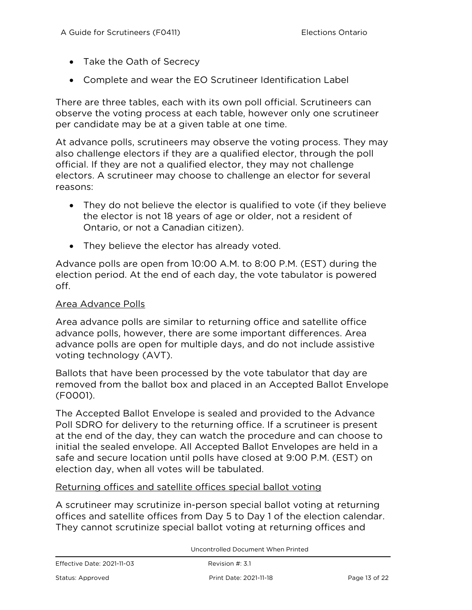- Take the Oath of Secrecy
- Complete and wear the EO Scrutineer Identification Label

There are three tables, each with its own poll official. Scrutineers can observe the voting process at each table, however only one scrutineer per candidate may be at a given table at one time.

At advance polls, scrutineers may observe the voting process. They may also challenge electors if they are a qualified elector, through the poll official. If they are not a qualified elector, they may not challenge electors. A scrutineer may choose to challenge an elector for several reasons:

- They do not believe the elector is qualified to vote (if they believe the elector is not 18 years of age or older, not a resident of Ontario, or not a Canadian citizen).
- They believe the elector has already voted.

Advance polls are open from 10:00 A.M. to 8:00 P.M. (EST) during the election period. At the end of each day, the vote tabulator is powered off.

#### Area Advance Polls

Area advance polls are similar to returning office and satellite office advance polls, however, there are some important differences. Area advance polls are open for multiple days, and do not include assistive voting technology (AVT).

Ballots that have been processed by the vote tabulator that day are removed from the ballot box and placed in an Accepted Ballot Envelope (F0001).

The Accepted Ballot Envelope is sealed and provided to the Advance Poll SDRO for delivery to the returning office. If a scrutineer is present at the end of the day, they can watch the procedure and can choose to initial the sealed envelope. All Accepted Ballot Envelopes are held in a safe and secure location until polls have closed at 9:00 P.M. (EST) on election day, when all votes will be tabulated.

#### Returning offices and satellite offices special ballot voting

A scrutineer may scrutinize in-person special ballot voting at returning offices and satellite offices from Day 5 to Day 1 of the election calendar. They cannot scrutinize special ballot voting at returning offices and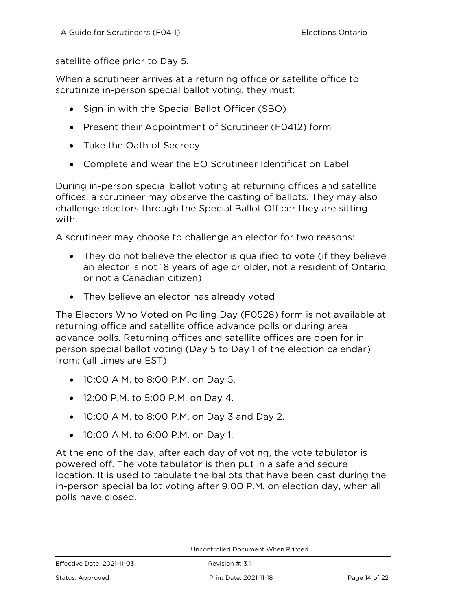satellite office prior to Day 5.

When a scrutineer arrives at a returning office or satellite office to scrutinize in-person special ballot voting, they must:

- Sign-in with the Special Ballot Officer (SBO)
- Present their Appointment of Scrutineer (F0412) form
- Take the Oath of Secrecy
- Complete and wear the EO Scrutineer Identification Label

During in-person special ballot voting at returning offices and satellite offices, a scrutineer may observe the casting of ballots. They may also challenge electors through the Special Ballot Officer they are sitting with.

A scrutineer may choose to challenge an elector for two reasons:

- They do not believe the elector is qualified to vote (if they believe an elector is not 18 years of age or older, not a resident of Ontario, or not a Canadian citizen)
- They believe an elector has already voted

The Electors Who Voted on Polling Day (F0528) form is not available at returning office and satellite office advance polls or during area advance polls. Returning offices and satellite offices are open for inperson special ballot voting (Day 5 to Day 1 of the election calendar) from: (all times are EST)

- 10:00 A.M. to 8:00 P.M. on Day 5.
- 12:00 P.M. to 5:00 P.M. on Day 4.
- 10:00 A.M. to 8:00 P.M. on Day 3 and Day 2.
- 10:00 A.M. to 6:00 P.M. on Day 1.

At the end of the day, after each day of voting, the vote tabulator is powered off. The vote tabulator is then put in a safe and secure location. It is used to tabulate the ballots that have been cast during the in-person special ballot voting after 9:00 P.M. on election day, when all polls have closed.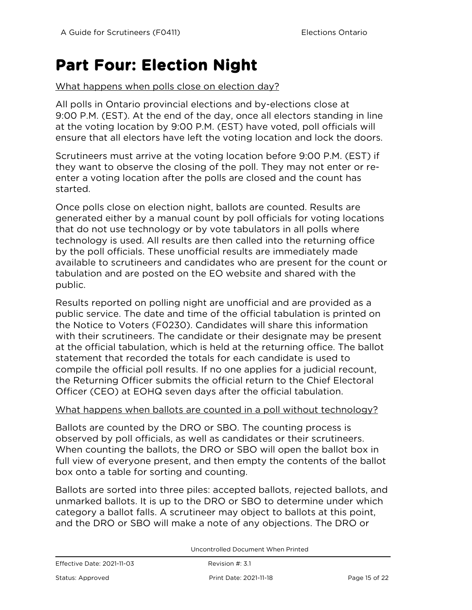## <span id="page-14-0"></span>**Part Four: Election Night**

#### What happens when polls close on election day?

All polls in Ontario provincial elections and by-elections close at 9:00 P.M. (EST). At the end of the day, once all electors standing in line at the voting location by 9:00 P.M. (EST) have voted, poll officials will ensure that all electors have left the voting location and lock the doors.

Scrutineers must arrive at the voting location before 9:00 P.M. (EST) if they want to observe the closing of the poll. They may not enter or reenter a voting location after the polls are closed and the count has started.

Once polls close on election night, ballots are counted. Results are generated either by a manual count by poll officials for voting locations that do not use technology or by vote tabulators in all polls where technology is used. All results are then called into the returning office by the poll officials. These unofficial results are immediately made available to scrutineers and candidates who are present for the count or tabulation and are posted on the EO website and shared with the public.

Results reported on polling night are unofficial and are provided as a public service. The date and time of the official tabulation is printed on the Notice to Voters (F0230). Candidates will share this information with their scrutineers. The candidate or their designate may be present at the official tabulation, which is held at the returning office. The ballot statement that recorded the totals for each candidate is used to compile the official poll results. If no one applies for a judicial recount, the Returning Officer submits the official return to the Chief Electoral Officer (CEO) at EOHQ seven days after the official tabulation.

#### What happens when ballots are counted in a poll without technology?

Ballots are counted by the DRO or SBO. The counting process is observed by poll officials, as well as candidates or their scrutineers. When counting the ballots, the DRO or SBO will open the ballot box in full view of everyone present, and then empty the contents of the ballot box onto a table for sorting and counting.

Ballots are sorted into three piles: accepted ballots, rejected ballots, and unmarked ballots. It is up to the DRO or SBO to determine under which category a ballot falls. A scrutineer may object to ballots at this point, and the DRO or SBO will make a note of any objections. The DRO or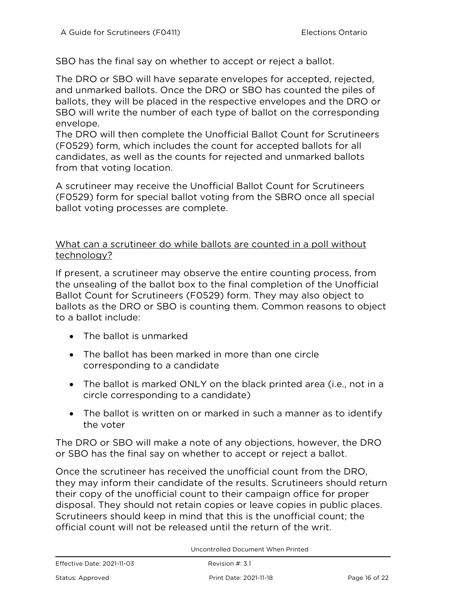SBO has the final say on whether to accept or reject a ballot.

The DRO or SBO will have separate envelopes for accepted, rejected, and unmarked ballots. Once the DRO or SBO has counted the piles of ballots, they will be placed in the respective envelopes and the DRO or SBO will write the number of each type of ballot on the corresponding envelope.

The DRO will then complete the Unofficial Ballot Count for Scrutineers (F0529) form, which includes the count for accepted ballots for all candidates, as well as the counts for rejected and unmarked ballots from that voting location.

A scrutineer may receive the Unofficial Ballot Count for Scrutineers (F0529) form for special ballot voting from the SBRO once all special ballot voting processes are complete.

#### What can a scrutineer do while ballots are counted in a poll without technology?

If present, a scrutineer may observe the entire counting process, from the unsealing of the ballot box to the final completion of the Unofficial Ballot Count for Scrutineers (F0529) form. They may also object to ballots as the DRO or SBO is counting them. Common reasons to object to a ballot include:

- The ballot is unmarked
- The ballot has been marked in more than one circle corresponding to a candidate
- The ballot is marked ONLY on the black printed area (i.e., not in a circle corresponding to a candidate)
- The ballot is written on or marked in such a manner as to identify the voter

The DRO or SBO will make a note of any objections, however, the DRO or SBO has the final say on whether to accept or reject a ballot.

Once the scrutineer has received the unofficial count from the DRO, they may inform their candidate of the results. Scrutineers should return their copy of the unofficial count to their campaign office for proper disposal. They should not retain copies or leave copies in public places. Scrutineers should keep in mind that this is the unofficial count; the official count will not be released until the return of the writ.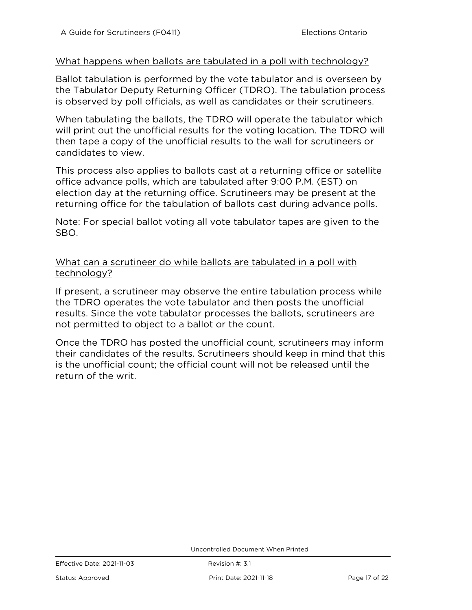#### What happens when ballots are tabulated in a poll with technology?

Ballot tabulation is performed by the vote tabulator and is overseen by the Tabulator Deputy Returning Officer (TDRO). The tabulation process is observed by poll officials, as well as candidates or their scrutineers.

When tabulating the ballots, the TDRO will operate the tabulator which will print out the unofficial results for the voting location. The TDRO will then tape a copy of the unofficial results to the wall for scrutineers or candidates to view.

This process also applies to ballots cast at a returning office or satellite office advance polls, which are tabulated after 9:00 P.M. (EST) on election day at the returning office. Scrutineers may be present at the returning office for the tabulation of ballots cast during advance polls.

Note: For special ballot voting all vote tabulator tapes are given to the SBO.

What can a scrutineer do while ballots are tabulated in a poll with technology?

If present, a scrutineer may observe the entire tabulation process while the TDRO operates the vote tabulator and then posts the unofficial results. Since the vote tabulator processes the ballots, scrutineers are not permitted to object to a ballot or the count.

Once the TDRO has posted the unofficial count, scrutineers may inform their candidates of the results. Scrutineers should keep in mind that this is the unofficial count; the official count will not be released until the return of the writ.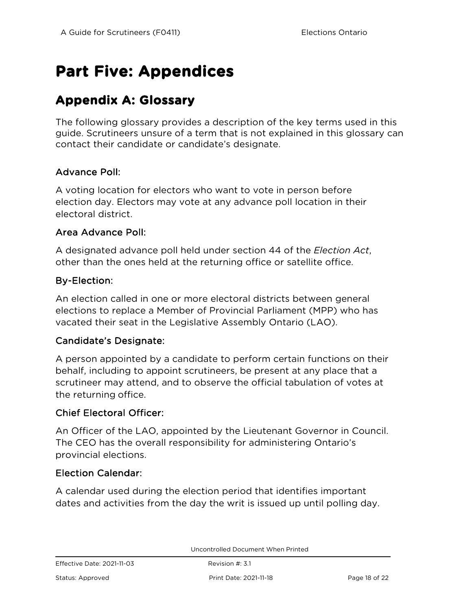## <span id="page-17-0"></span>**Part Five: Appendices**

## **Appendix A: Glossary**

The following glossary provides a description of the key terms used in this guide. Scrutineers unsure of a term that is not explained in this glossary can contact their candidate or candidate's designate.

#### Advance Poll:

A voting location for electors who want to vote in person before election day. Electors may vote at any advance poll location in their electoral district.

#### Area Advance Poll:

A designated advance poll held under section 44 of the *Election Act*, other than the ones held at the returning office or satellite office.

#### By-Election:

An election called in one or more electoral districts between general elections to replace a Member of Provincial Parliament (MPP) who has vacated their seat in the Legislative Assembly Ontario (LAO).

#### Candidate's Designate:

A person appointed by a candidate to perform certain functions on their behalf, including to appoint scrutineers, be present at any place that a scrutineer may attend, and to observe the official tabulation of votes at the returning office.

#### Chief Electoral Officer:

An Officer of the LAO, appointed by the Lieutenant Governor in Council. The CEO has the overall responsibility for administering Ontario's provincial elections.

#### Election Calendar:

A calendar used during the election period that identifies important dates and activities from the day the writ is issued up until polling day.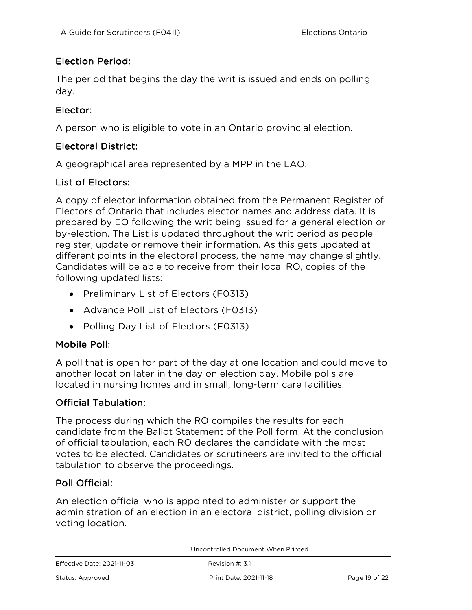#### Election Period:

The period that begins the day the writ is issued and ends on polling day.

#### Elector:

A person who is eligible to vote in an Ontario provincial election.

#### Electoral District:

A geographical area represented by a MPP in the LAO.

#### List of Electors:

A copy of elector information obtained from the Permanent Register of Electors of Ontario that includes elector names and address data. It is prepared by EO following the writ being issued for a general election or by-election. The List is updated throughout the writ period as people register, update or remove their information. As this gets updated at different points in the electoral process, the name may change slightly. Candidates will be able to receive from their local RO, copies of the following updated lists:

- Preliminary List of Electors (F0313)
- Advance Poll List of Electors (F0313)
- Polling Day List of Electors (F0313)

#### Mobile Poll:

A poll that is open for part of the day at one location and could move to another location later in the day on election day. Mobile polls are located in nursing homes and in small, long-term care facilities.

#### Official Tabulation:

The process during which the RO compiles the results for each candidate from the Ballot Statement of the Poll form. At the conclusion of official tabulation, each RO declares the candidate with the most votes to be elected. Candidates or scrutineers are invited to the official tabulation to observe the proceedings.

#### Poll Official:

An election official who is appointed to administer or support the administration of an election in an electoral district, polling division or voting location.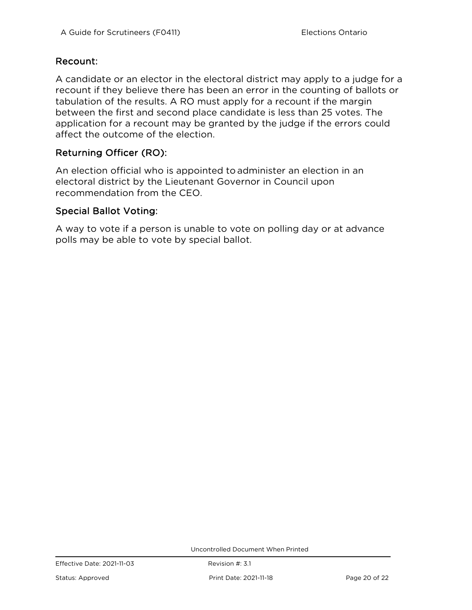#### Recount:

A candidate or an elector in the electoral district may apply to a judge for a recount if they believe there has been an error in the counting of ballots or tabulation of the results. A RO must apply for a recount if the margin between the first and second place candidate is less than 25 votes. The application for a recount may be granted by the judge if the errors could affect the outcome of the election.

#### Returning Officer (RO):

An election official who is appointed to administer an election in an electoral district by the Lieutenant Governor in Council upon recommendation from the CEO.

#### Special Ballot Voting:

A way to vote if a person is unable to vote on polling day or at advance polls may be able to vote by special ballot.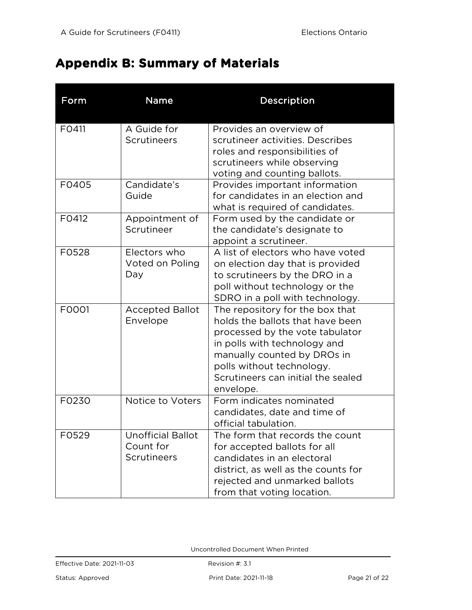## **Appendix B: Summary of Materials**

| Form  | Name                                                        | Description                                                                                                                                                                                                                                           |
|-------|-------------------------------------------------------------|-------------------------------------------------------------------------------------------------------------------------------------------------------------------------------------------------------------------------------------------------------|
| F0411 | A Guide for<br>Scrutineers                                  | Provides an overview of<br>scrutineer activities. Describes<br>roles and responsibilities of<br>scrutineers while observing                                                                                                                           |
| F0405 | Candidate's<br>Guide                                        | voting and counting ballots.<br>Provides important information<br>for candidates in an election and<br>what is required of candidates.                                                                                                                |
| F0412 | Appointment of<br>Scrutineer                                | Form used by the candidate or<br>the candidate's designate to<br>appoint a scrutineer.                                                                                                                                                                |
| F0528 | Electors who<br>Voted on Poling<br>Day                      | A list of electors who have voted<br>on election day that is provided<br>to scrutineers by the DRO in a<br>poll without technology or the<br>SDRO in a poll with technology.                                                                          |
| F0001 | <b>Accepted Ballot</b><br>Envelope                          | The repository for the box that<br>holds the ballots that have been<br>processed by the vote tabulator<br>in polls with technology and<br>manually counted by DROs in<br>polls without technology.<br>Scrutineers can initial the sealed<br>envelope. |
| F0230 | Notice to Voters                                            | Form indicates nominated<br>candidates, date and time of<br>official tabulation.                                                                                                                                                                      |
| F0529 | <b>Unofficial Ballot</b><br>Count for<br><b>Scrutineers</b> | The form that records the count<br>for accepted ballots for all<br>candidates in an electoral<br>district, as well as the counts for<br>rejected and unmarked ballots<br>from that voting location.                                                   |